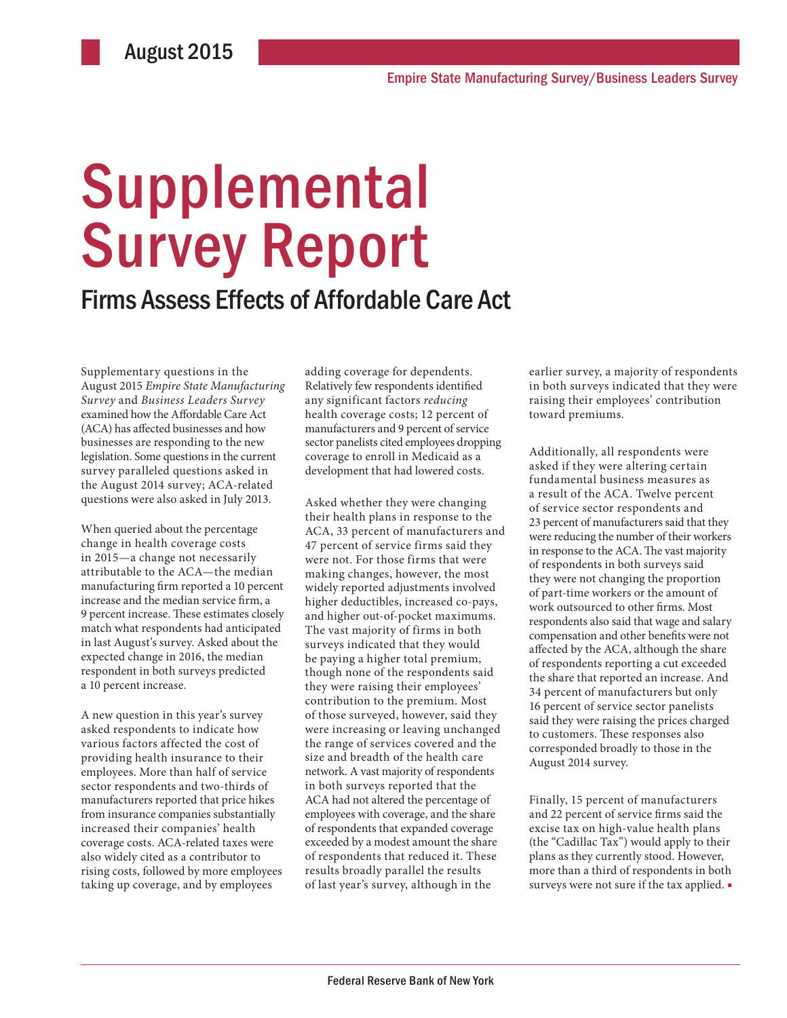# Supplemental Survey Report

## Firms Assess Effects of Affordable Care Act

Supplementary questions in the August 2015 *Empire State Manufacturing Survey* and *Business Leaders Survey* examined how the Affordable Care Act (ACA) has affected businesses and how businesses are responding to the new legislation. Some questions in the current survey paralleled questions asked in the August 2014 survey; ACA-related questions were also asked in July 2013.

When queried about the percentage change in health coverage costs in 2015—a change not necessarily attributable to the ACA—the median manufacturing firm reported a 10 percent increase and the median service firm, a 9 percent increase. These estimates closely match what respondents had anticipated in last August's survey. Asked about the expected change in 2016, the median respondent in both surveys predicted a 10 percent increase.

A new question in this year's survey asked respondents to indicate how various factors affected the cost of providing health insurance to their employees. More than half of service sector respondents and two-thirds of manufacturers reported that price hikes from insurance companies substantially increased their companies' health coverage costs. ACA-related taxes were also widely cited as a contributor to rising costs, followed by more employees taking up coverage, and by employees

adding coverage for dependents. Relatively few respondents identified any significant factors *reducing* health coverage costs; 12 percent of manufacturers and 9 percent of service sector panelists cited employees dropping coverage to enroll in Medicaid as a development that had lowered costs.

Asked whether they were changing their health plans in response to the ACA, 33 percent of manufacturers and 47 percent of service firms said they were not. For those firms that were making changes, however, the most widely reported adjustments involved higher deductibles, increased co-pays, and higher out-of-pocket maximums. The vast majority of firms in both surveys indicated that they would be paying a higher total premium, though none of the respondents said they were raising their employees' contribution to the premium. Most of those surveyed, however, said they were increasing or leaving unchanged the range of services covered and the size and breadth of the health care network. A vast majority of respondents in both surveys reported that the ACA had not altered the percentage of employees with coverage, and the share of respondents that expanded coverage exceeded by a modest amount the share of respondents that reduced it. These results broadly parallel the results of last year's survey, although in the

earlier survey, a majority of respondents in both surveys indicated that they were raising their employees' contribution toward premiums.

Additionally, all respondents were asked if they were altering certain fundamental business measures as a result of the ACA. Twelve percent of service sector respondents and 23 percent of manufacturers said that they were reducing the number of their workers in response to the ACA. The vast majority of respondents in both surveys said they were not changing the proportion of part-time workers or the amount of work outsourced to other firms. Most respondents also said that wage and salary compensation and other benefits were not affected by the ACA, although the share of respondents reporting a cut exceeded the share that reported an increase. And 34 percent of manufacturers but only 16 percent of service sector panelists said they were raising the prices charged to customers. These responses also corresponded broadly to those in the August 2014 survey.

Finally, 15 percent of manufacturers and 22 percent of service firms said the excise tax on high-value health plans (the "Cadillac Tax") would apply to their plans as they currently stood. However, more than a third of respondents in both surveys were not sure if the tax applied. ■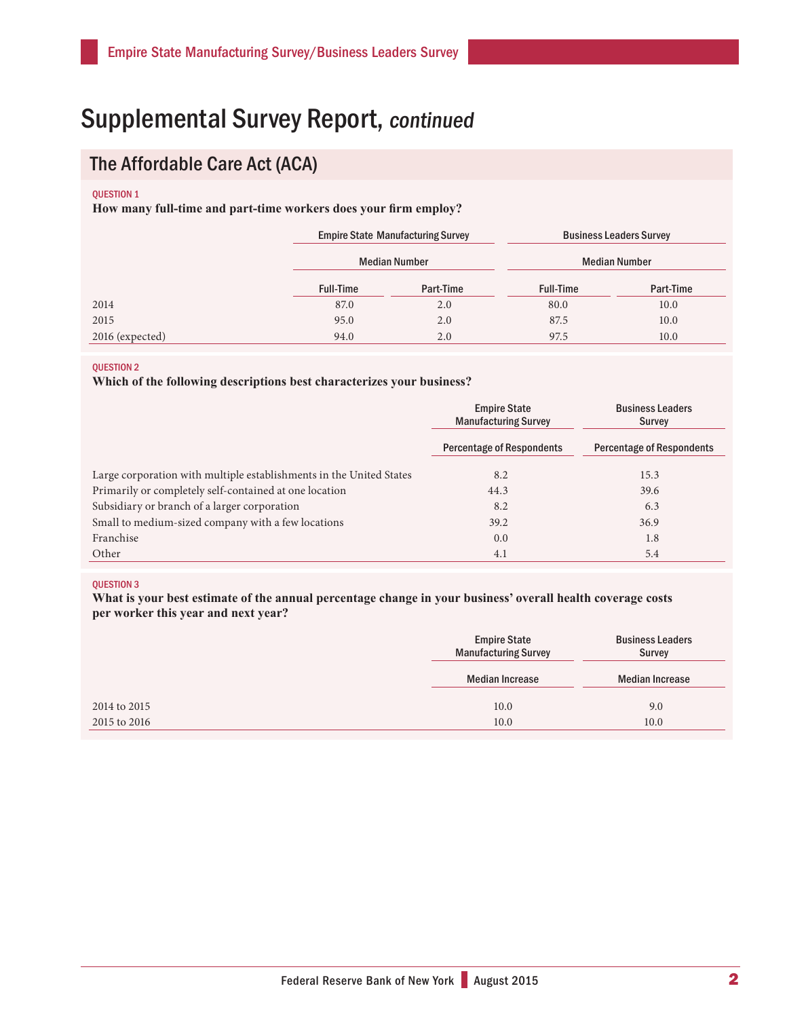## Supplemental Survey Report, continued

### The Affordable Care Act (ACA)

#### **OUESTION 1**

**How many full-time and part-time workers does your firm employ?**

|                 | <b>Empire State Manufacturing Survey</b> |           | <b>Business Leaders Survey</b> |           |
|-----------------|------------------------------------------|-----------|--------------------------------|-----------|
|                 | <b>Median Number</b>                     |           | <b>Median Number</b>           |           |
|                 | <b>Full-Time</b>                         | Part-Time | <b>Full-Time</b>               | Part-Time |
| 2014            | 87.0                                     | 2.0       | 80.0                           | 10.0      |
| 2015            | 95.0                                     | 2.0       | 87.5                           | 10.0      |
| 2016 (expected) | 94.0                                     | 2.0       | 97.5                           | 10.0      |

### QUESTION 2

### **Which of the following descriptions best characterizes your business?**

|                                                                     | <b>Empire State</b><br><b>Manufacturing Survey</b> | <b>Business Leaders</b><br>Survey |  |
|---------------------------------------------------------------------|----------------------------------------------------|-----------------------------------|--|
|                                                                     | <b>Percentage of Respondents</b>                   | <b>Percentage of Respondents</b>  |  |
| Large corporation with multiple establishments in the United States | 8.2                                                | 15.3                              |  |
| Primarily or completely self-contained at one location              | 44.3                                               | 39.6                              |  |
| Subsidiary or branch of a larger corporation                        | 8.2                                                | 6.3                               |  |
| Small to medium-sized company with a few locations                  | 39.2                                               | 36.9                              |  |
| Franchise                                                           | 0.0                                                | 1.8                               |  |
| Other                                                               | 4.1                                                | 5.4                               |  |

#### QUESTION 3

**What is your best estimate of the annual percentage change in your business' overall health coverage costs per worker this year and next year?**

| <b>Empire State</b><br><b>Manufacturing Survey</b> | <b>Business Leaders</b><br><b>Survey</b> |
|----------------------------------------------------|------------------------------------------|
| <b>Median Increase</b>                             | <b>Median Increase</b>                   |
| 10.0                                               | 9.0                                      |
| 10.0                                               | 10.0                                     |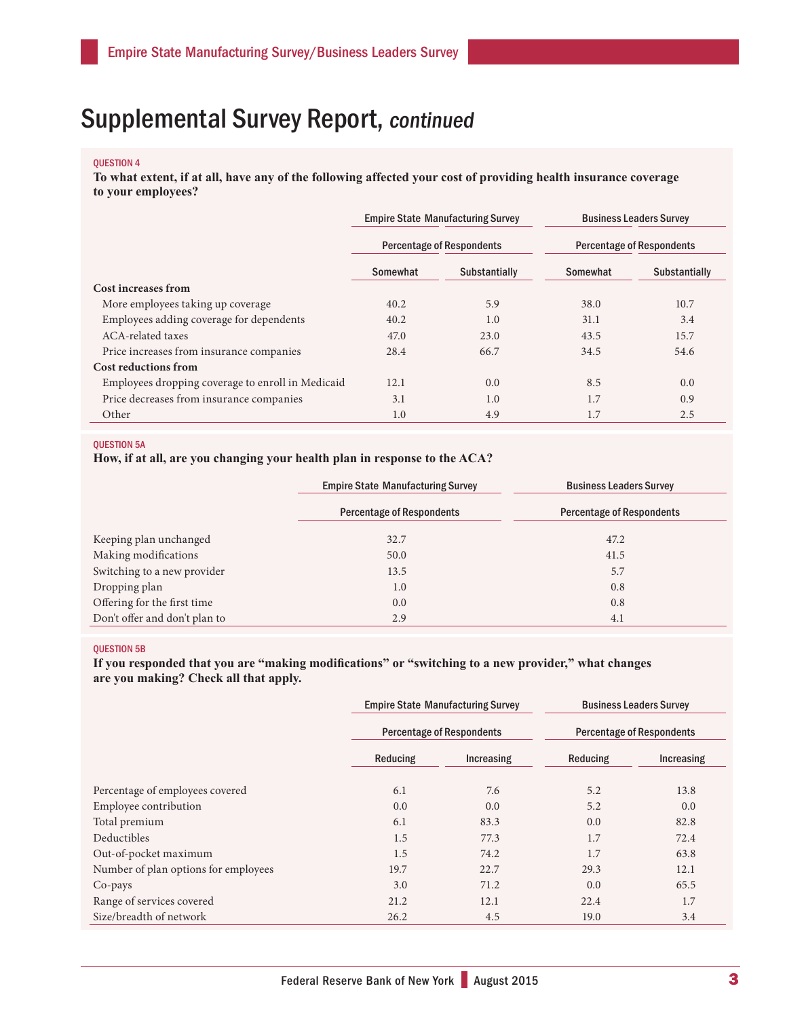## Supplemental Survey Report, continued

### QUESTION 4

**To what extent, if at all, have any of the following affected your cost of providing health insurance coverage to your employees?**

|                                                   | <b>Empire State Manufacturing Survey</b><br><b>Percentage of Respondents</b> |                      | <b>Business Leaders Survey</b><br><b>Percentage of Respondents</b> |                      |
|---------------------------------------------------|------------------------------------------------------------------------------|----------------------|--------------------------------------------------------------------|----------------------|
|                                                   |                                                                              |                      |                                                                    |                      |
|                                                   | Somewhat                                                                     | <b>Substantially</b> | Somewhat                                                           | <b>Substantially</b> |
| Cost increases from                               |                                                                              |                      |                                                                    |                      |
| More employees taking up coverage.                | 40.2                                                                         | 5.9                  | 38.0                                                               | 10.7                 |
| Employees adding coverage for dependents          | 40.2                                                                         | 1.0                  | 31.1                                                               | 3.4                  |
| ACA-related taxes                                 | 47.0                                                                         | 23.0                 | 43.5                                                               | 15.7                 |
| Price increases from insurance companies          | 28.4                                                                         | 66.7                 | 34.5                                                               | 54.6                 |
| Cost reductions from                              |                                                                              |                      |                                                                    |                      |
| Employees dropping coverage to enroll in Medicaid | 12.1                                                                         | 0.0                  | 8.5                                                                | 0.0                  |
| Price decreases from insurance companies          | 3.1                                                                          | 1.0                  | 1.7                                                                | 0.9                  |
| Other                                             | 1.0                                                                          | 4.9                  | 1.7                                                                | 2.5                  |

### QUESTION 5A

**How, if at all, are you changing your health plan in response to the ACA?**

|                               | <b>Empire State Manufacturing Survey</b> | <b>Business Leaders Survey</b>   |  |  |
|-------------------------------|------------------------------------------|----------------------------------|--|--|
|                               | <b>Percentage of Respondents</b>         | <b>Percentage of Respondents</b> |  |  |
| Keeping plan unchanged        | 32.7                                     | 47.2                             |  |  |
| Making modifications          | 50.0                                     | 41.5                             |  |  |
| Switching to a new provider   | 13.5                                     | 5.7                              |  |  |
| Dropping plan                 | 1.0                                      | 0.8                              |  |  |
| Offering for the first time   | 0.0                                      | 0.8                              |  |  |
| Don't offer and don't plan to | 2.9                                      | 4.1                              |  |  |

### QUESTION 5B

**If you responded that you are "making modifications" or "switching to a new provider," what changes are you making? Check all that apply.**

|                                      | <b>Empire State Manufacturing Survey</b><br><b>Percentage of Respondents</b> |            | <b>Business Leaders Survey</b><br><b>Percentage of Respondents</b> |            |
|--------------------------------------|------------------------------------------------------------------------------|------------|--------------------------------------------------------------------|------------|
|                                      |                                                                              |            |                                                                    |            |
|                                      | Reducing                                                                     | Increasing | Reducing                                                           | Increasing |
| Percentage of employees covered      | 6.1                                                                          | 7.6        | 5.2                                                                | 13.8       |
| Employee contribution                | 0.0                                                                          | 0.0        | 5.2                                                                | 0.0        |
| Total premium                        | 6.1                                                                          | 83.3       | 0.0                                                                | 82.8       |
| Deductibles                          | 1.5                                                                          | 77.3       | 1.7                                                                | 72.4       |
| Out-of-pocket maximum                | 1.5                                                                          | 74.2       | 1.7                                                                | 63.8       |
| Number of plan options for employees | 19.7                                                                         | 22.7       | 29.3                                                               | 12.1       |
| Co-pays                              | 3.0                                                                          | 71.2       | 0.0                                                                | 65.5       |
| Range of services covered            | 21.2                                                                         | 12.1       | 22.4                                                               | 1.7        |
| Size/breadth of network              | 26.2                                                                         | 4.5        | 19.0                                                               | 3.4        |